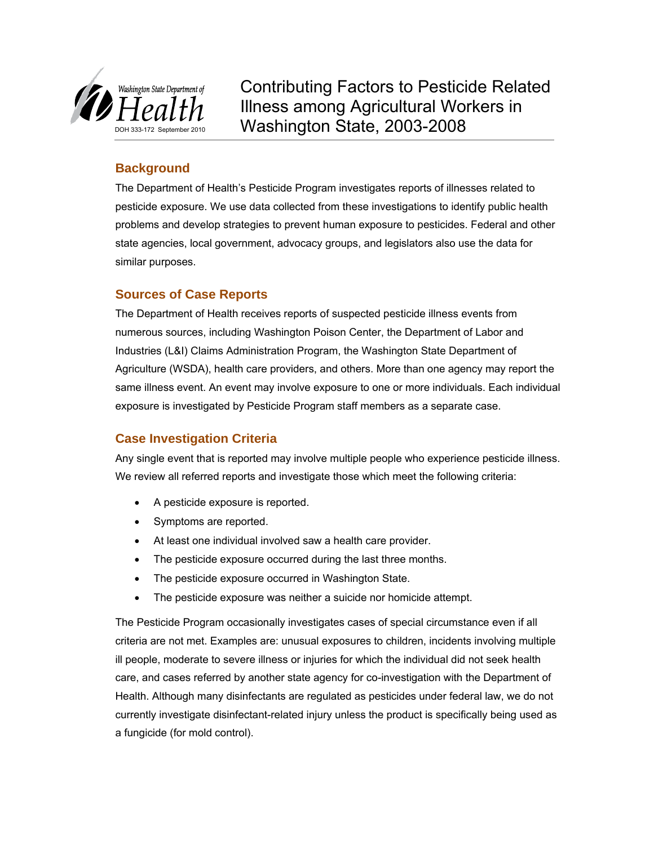

Contributing Factors to Pesticide Related Illness among Agricultural Workers in Washington State, 2003-2008

# **Background**

The Department of Health's Pesticide Program investigates reports of illnesses related to pesticide exposure. We use data collected from these investigations to identify public health problems and develop strategies to prevent human exposure to pesticides. Federal and other state agencies, local government, advocacy groups, and legislators also use the data for similar purposes.

# **Sources of Case Reports**

The Department of Health receives reports of suspected pesticide illness events from numerous sources, including Washington Poison Center, the Department of Labor and Industries (L&I) Claims Administration Program, the Washington State Department of Agriculture (WSDA), health care providers, and others. More than one agency may report the same illness event. An event may involve exposure to one or more individuals. Each individual exposure is investigated by Pesticide Program staff members as a separate case.

# **Case Investigation Criteria**

Any single event that is reported may involve multiple people who experience pesticide illness. We review all referred reports and investigate those which meet the following criteria:

- A pesticide exposure is reported.
- Symptoms are reported.
- At least one individual involved saw a health care provider.
- The pesticide exposure occurred during the last three months.
- The pesticide exposure occurred in Washington State.
- The pesticide exposure was neither a suicide nor homicide attempt.

The Pesticide Program occasionally investigates cases of special circumstance even if all criteria are not met. Examples are: unusual exposures to children, incidents involving multiple ill people, moderate to severe illness or injuries for which the individual did not seek health care, and cases referred by another state agency for co-investigation with the Department of Health. Although many disinfectants are regulated as pesticides under federal law, we do not currently investigate disinfectant-related injury unless the product is specifically being used as a fungicide (for mold control).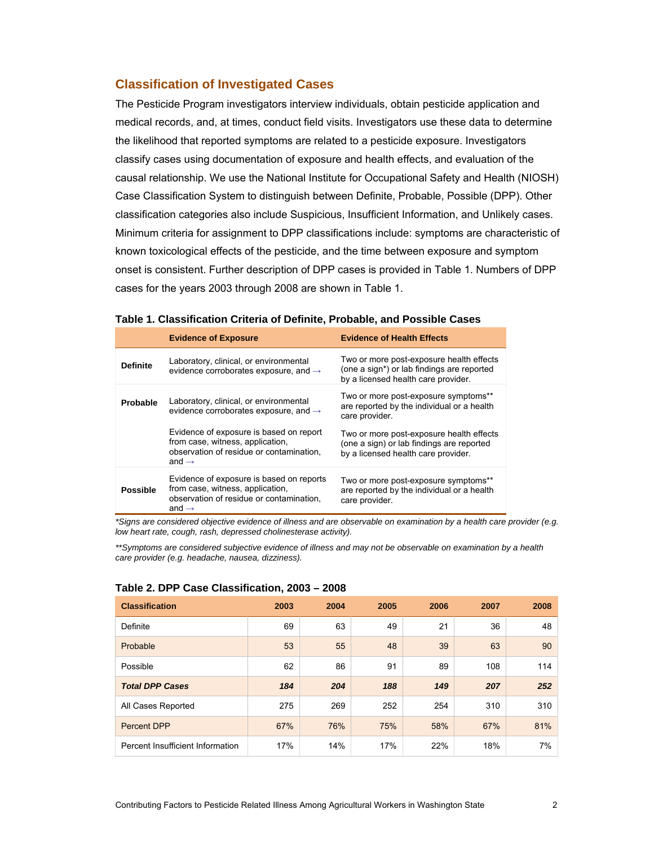## **Classification of Investigated Cases**

The Pesticide Program investigators interview individuals, obtain pesticide application and medical records, and, at times, conduct field visits. Investigators use these data to determine the likelihood that reported symptoms are related to a pesticide exposure. Investigators classify cases using documentation of exposure and health effects, and evaluation of the causal relationship. We use the National Institute for Occupational Safety and Health (NIOSH) Case Classification System to distinguish between Definite, Probable, Possible (DPP). Other classification categories also include Suspicious, Insufficient Information, and Unlikely cases. Minimum criteria for assignment to DPP classifications include: symptoms are characteristic of known toxicological effects of the pesticide, and the time between exposure and symptom onset is consistent. Further description of DPP cases is provided in [Table 1](#page-1-0). Numbers of DPP cases for the years 2003 through 2008 are shown in Table 1.

#### <span id="page-1-0"></span>**Table 1. Classification Criteria of Definite, Probable, and Possible Cases**

|                 | <b>Evidence of Exposure</b>                                                                                                                   | <b>Evidence of Health Effects</b>                                                                                             |
|-----------------|-----------------------------------------------------------------------------------------------------------------------------------------------|-------------------------------------------------------------------------------------------------------------------------------|
| <b>Definite</b> | Laboratory, clinical, or environmental<br>evidence corroborates exposure, and $\rightarrow$                                                   | Two or more post-exposure health effects<br>(one a sign*) or lab findings are reported<br>by a licensed health care provider. |
| Probable        | Laboratory, clinical, or environmental<br>evidence corroborates exposure, and $\rightarrow$                                                   | Two or more post-exposure symptoms**<br>are reported by the individual or a health<br>care provider.                          |
|                 | Evidence of exposure is based on report<br>from case, witness, application,<br>observation of residue or contamination,<br>and $\rightarrow$  | Two or more post-exposure health effects<br>(one a sign) or lab findings are reported<br>by a licensed health care provider.  |
| <b>Possible</b> | Evidence of exposure is based on reports<br>from case, witness, application,<br>observation of residue or contamination,<br>and $\rightarrow$ | Two or more post-exposure symptoms**<br>are reported by the individual or a health<br>care provider.                          |

*\*Signs are considered objective evidence of illness and are observable on examination by a health care provider (e.g. low heart rate, cough, rash, depressed cholinesterase activity).* 

*\*\*Symptoms are considered subjective evidence of illness and may not be observable on examination by a health care provider (e.g. headache, nausea, dizziness).*

| <b>Classification</b>            | 2003 | 2004 | 2005 | 2006 | 2007 | 2008 |
|----------------------------------|------|------|------|------|------|------|
| Definite                         | 69   | 63   | 49   | 21   | 36   | 48   |
| Probable                         | 53   | 55   | 48   | 39   | 63   | 90   |
| Possible                         | 62   | 86   | 91   | 89   | 108  | 114  |
| <b>Total DPP Cases</b>           | 184  | 204  | 188  | 149  | 207  | 252  |
| All Cases Reported               | 275  | 269  | 252  | 254  | 310  | 310  |
| Percent DPP                      | 67%  | 76%  | 75%  | 58%  | 67%  | 81%  |
| Percent Insufficient Information | 17%  | 14%  | 17%  | 22%  | 18%  | 7%   |

#### **Table 2. DPP Case Classification, 2003 – 2008**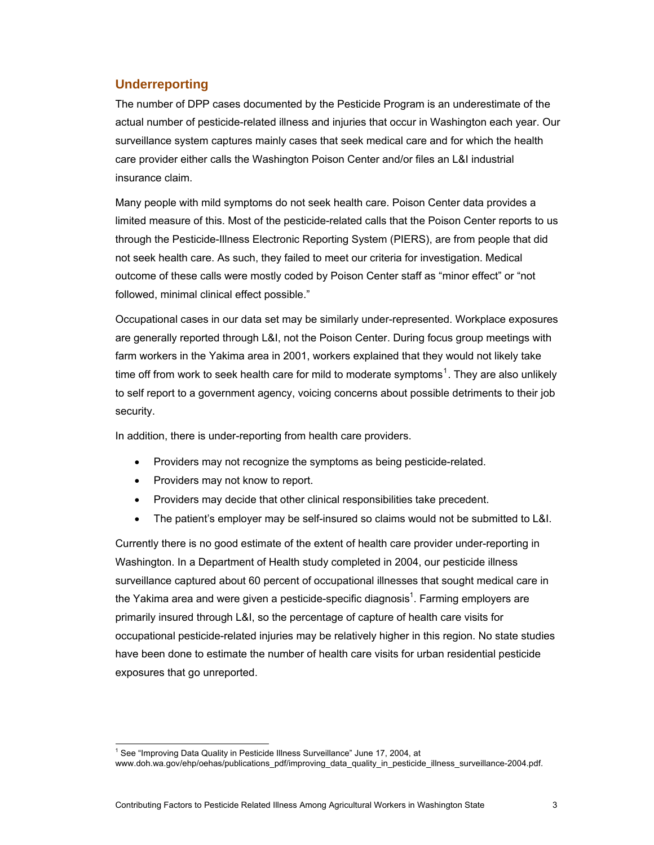# **Underreporting**

The number of DPP cases documented by the Pesticide Program is an underestimate of the actual number of pesticide-related illness and injuries that occur in Washington each year. Our surveillance system captures mainly cases that seek medical care and for which the health care provider either calls the Washington Poison Center and/or files an L&I industrial insurance claim.

Many people with mild symptoms do not seek health care. Poison Center data provides a limited measure of this. Most of the pesticide-related calls that the Poison Center reports to us through the Pesticide-Illness Electronic Reporting System (PIERS), are from people that did not seek health care. As such, they failed to meet our criteria for investigation. Medical outcome of these calls were mostly coded by Poison Center staff as "minor effect" or "not followed, minimal clinical effect possible."

Occupational cases in our data set may be similarly under-represented. Workplace exposures are generally reported through L&I, not the Poison Center. During focus group meetings with farm workers in the Yakima area in 2001, workers explained that they would not likely take time off from work to seek health care for mild to moderate symptoms<sup>[1](#page-2-0)</sup>. They are also unlikely to self report to a government agency, voicing concerns about possible detriments to their job security.

<span id="page-2-1"></span>In addition, there is under-reporting from health care providers.

- Providers may not recognize the symptoms as being pesticide-related.
- Providers may not know to report.
- Providers may decide that other clinical responsibilities take precedent.
- The patient's employer may be self-insured so claims would not be submitted to L&I.

Currently there is no good estimate of the extent of health care provider under-reporting in Washington. In a Department of Health study completed in 2004, our pesticide illness surveillance captured about 60 percent of occupational illnesses that sought medical care in the Yakima area and were given a pesticide-specific diagnosis<sup>[1](#page-2-1)</sup>. Farming employers are primarily insured through L&I, so the percentage of capture of health care visits for occupational pesticide-related injuries may be relatively higher in this region. No state studies have been done to estimate the number of health care visits for urban residential pesticide exposures that go unreported.

<span id="page-2-0"></span>l <sup>1</sup> See "Improving Data Quality in Pesticide Illness Surveillance" June 17, 2004, at [www.doh.wa.gov/ehp/oehas/publications\\_pdf/improving\\_data\\_quality\\_in\\_pesticide\\_illness\\_surveillance-2004.pdf](http://www.doh.wa.gov/ehp/oehas/publications_pdf/improving_data_quality_in_pesticide_illness_surveillance-2004.pdf).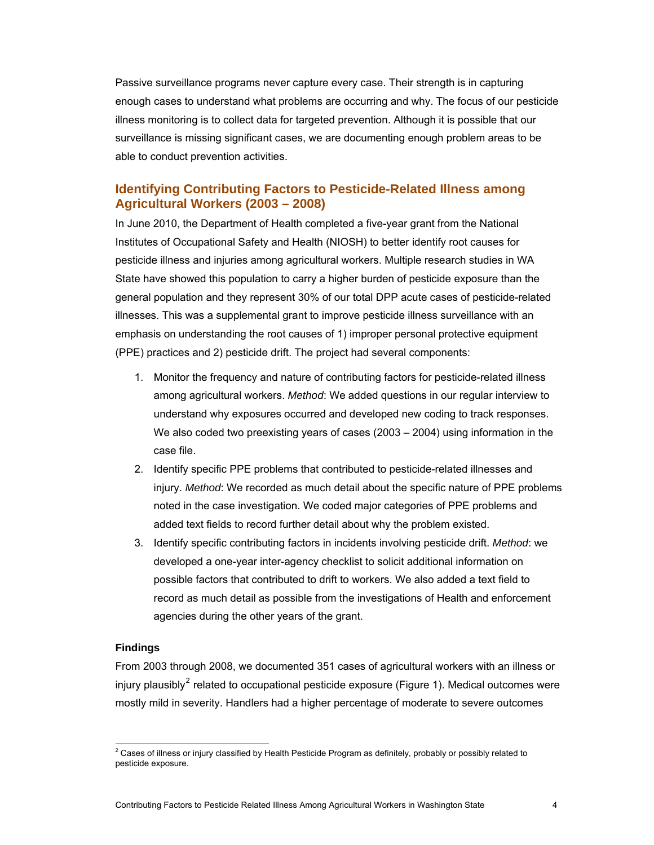Passive surveillance programs never capture every case. Their strength is in capturing enough cases to understand what problems are occurring and why. The focus of our pesticide illness monitoring is to collect data for targeted prevention. Although it is possible that our surveillance is missing significant cases, we are documenting enough problem areas to be able to conduct prevention activities.

# **Identifying Contributing Factors to Pesticide-Related Illness among Agricultural Workers (2003 – 2008)**

In June 2010, the Department of Health completed a five-year grant from the National Institutes of Occupational Safety and Health (NIOSH) to better identify root causes for pesticide illness and injuries among agricultural workers. Multiple research studies in WA State have showed this population to carry a higher burden of pesticide exposure than the general population and they represent 30% of our total DPP acute cases of pesticide-related illnesses. This was a supplemental grant to improve pesticide illness surveillance with an emphasis on understanding the root causes of 1) improper personal protective equipment (PPE) practices and 2) pesticide drift. The project had several components:

- 1. Monitor the frequency and nature of contributing factors for pesticide-related illness among agricultural workers. *Method*: We added questions in our regular interview to understand why exposures occurred and developed new coding to track responses. We also coded two preexisting years of cases (2003 – 2004) using information in the case file.
- 2. Identify specific PPE problems that contributed to pesticide-related illnesses and injury. *Method*: We recorded as much detail about the specific nature of PPE problems noted in the case investigation. We coded major categories of PPE problems and added text fields to record further detail about why the problem existed.
- 3. Identify specific contributing factors in incidents involving pesticide drift. *Method*: we developed a one-year inter-agency checklist to solicit additional information on possible factors that contributed to drift to workers. We also added a text field to record as much detail as possible from the investigations of Health and enforcement agencies during the other years of the grant.

## **Findings**

From 2003 through 2008, we documented 351 cases of agricultural workers with an illness or injury plausibly<sup>[2](#page-3-0)</sup> related to occupational pesticide exposure (Figure 1). Medical outcomes were mostly mild in severity. Handlers had a higher percentage of moderate to severe outcomes

<span id="page-3-0"></span><sup>1</sup>  $^2$  Cases of illness or injury classified by Health Pesticide Program as definitely, probably or possibly related to pesticide exposure.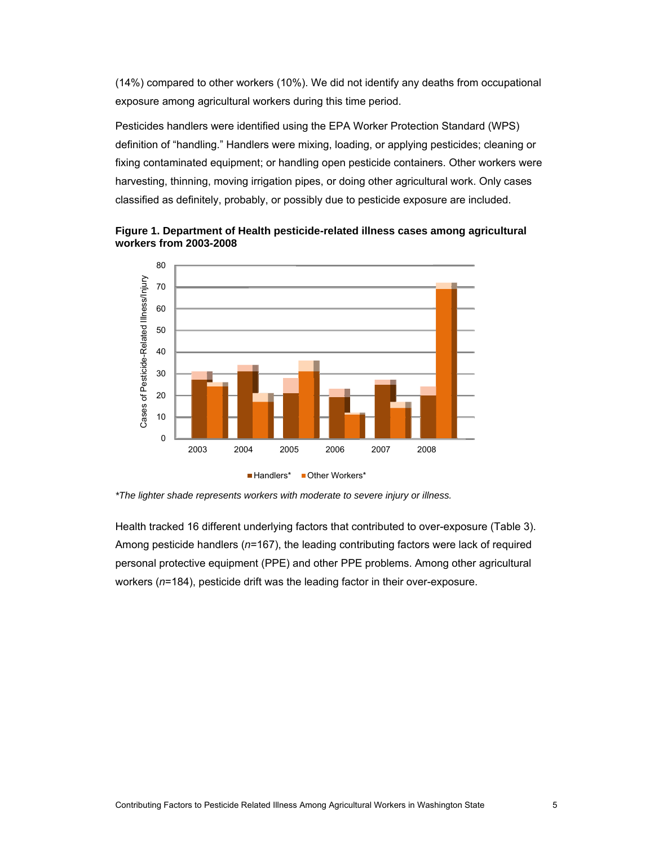(14%) compared to other workers (10%). We did not identify any deaths from occupational exposure among agricultural workers during this time period.

Pesticides handlers were identified using the EPA Worker Protection Standard (WPS) definition of "handling." Handlers were mixing, loading, or applying pesticides; cleaning or fixing contaminated equipment; or handling open pesticide containers. Other workers were harvesting, thinning, moving irrigation pipes, or doing other agricultural work. Only cases classified as definitely, probably, or possibly due to pesticide exposure are included.





*\*The lighter shade represents workers with moderate to severe injury or illness.* 

Health tracked 16 different underlying factors that contributed to over-exposure ([Table 3\)](#page-5-0). Among pesticide handlers (*n*=167), the leading contributing factors were lack of required personal protective equipment (PPE) and other PPE problems. Among other agricultural workers (*n*=184), pesticide drift was the leading factor in their over-exposure.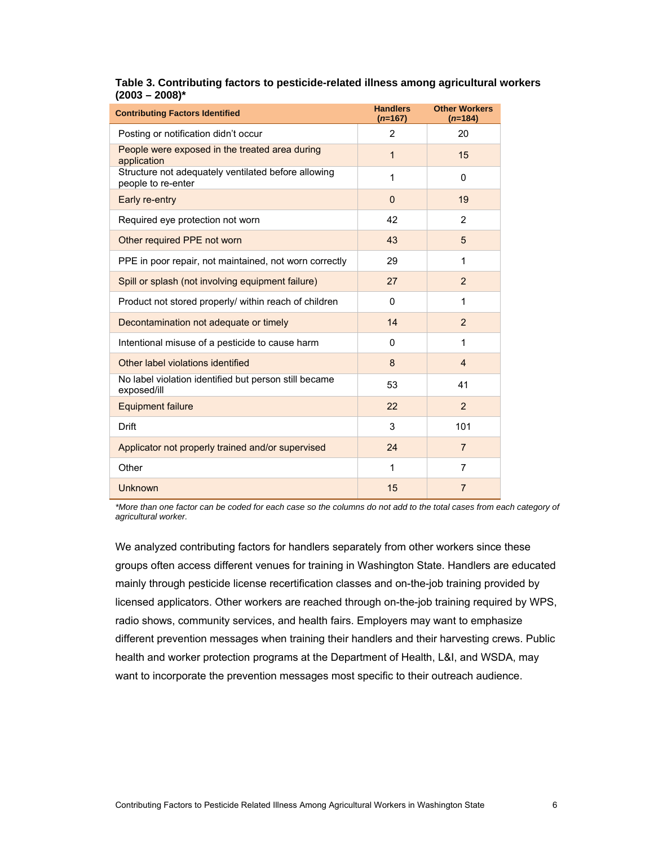### <span id="page-5-0"></span>**Table 3. Contributing factors to pesticide-related illness among agricultural workers (2003 – 2008)\***

| <b>Contributing Factors Identified</b>                                    | <b>Handlers</b><br>$(n=167)$ | <b>Other Workers</b><br>$(n=184)$ |
|---------------------------------------------------------------------------|------------------------------|-----------------------------------|
| Posting or notification didn't occur                                      | $\overline{2}$               | 20                                |
| People were exposed in the treated area during<br>application             | 1                            | 15                                |
| Structure not adequately ventilated before allowing<br>people to re-enter | 1                            | 0                                 |
| Early re-entry                                                            | $\Omega$                     | 19                                |
| Required eye protection not worn                                          | 42                           | 2                                 |
| Other required PPE not worn                                               | 43                           | 5                                 |
| PPE in poor repair, not maintained, not worn correctly                    | 29                           | 1                                 |
| Spill or splash (not involving equipment failure)                         | 27                           | 2                                 |
| Product not stored properly/ within reach of children                     | 0                            | 1                                 |
| Decontamination not adequate or timely                                    | 14                           | 2                                 |
| Intentional misuse of a pesticide to cause harm                           | 0                            | 1                                 |
| Other label violations identified                                         | 8                            | $\overline{4}$                    |
| No label violation identified but person still became<br>exposed/ill      | 53                           | 41                                |
| <b>Equipment failure</b>                                                  | 22                           | 2                                 |
| <b>Drift</b>                                                              | 3                            | 101                               |
| Applicator not properly trained and/or supervised                         | 24                           | $\overline{7}$                    |
| Other                                                                     | 1                            | 7                                 |
| <b>Unknown</b>                                                            | 15                           | $\overline{7}$                    |

*\*More than one factor can be coded for each case so the columns do not add to the total cases from each category of agricultural worker.*

We analyzed contributing factors for handlers separately from other workers since these groups often access different venues for training in Washington State. Handlers are educated mainly through pesticide license recertification classes and on-the-job training provided by licensed applicators. Other workers are reached through on-the-job training required by WPS, radio shows, community services, and health fairs. Employers may want to emphasize different prevention messages when training their handlers and their harvesting crews. Public health and worker protection programs at the Department of Health, L&I, and WSDA, may want to incorporate the prevention messages most specific to their outreach audience.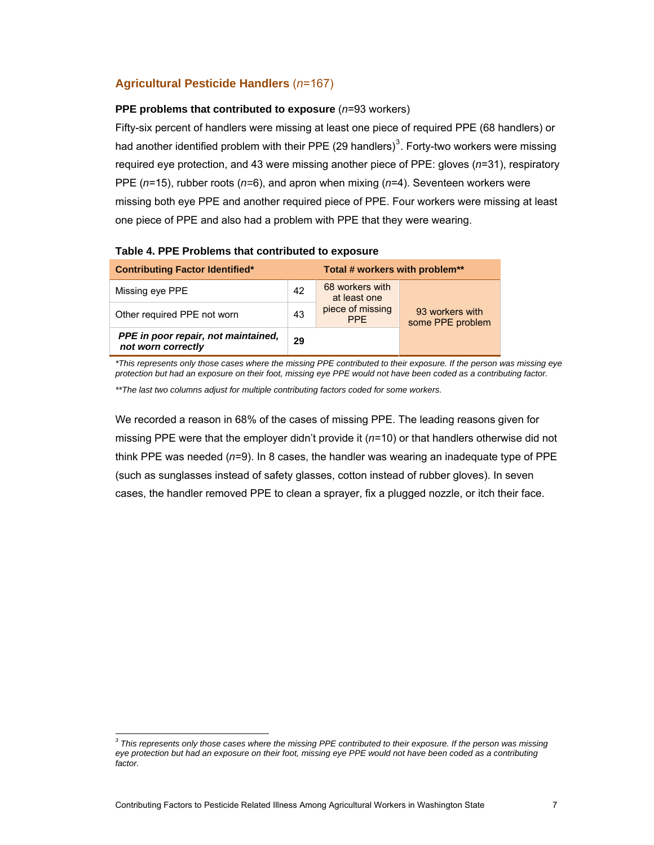# **Agricultural Pesticide Handlers** (*n*=167)

### **PPE problems that contributed to exposure** (*n*=93 workers)

Fifty-six percent of handlers were missing at least one piece of required PPE (68 handlers) or had another identified problem with their PPE (29 handlers)<sup>[3](#page-6-0)</sup>. Forty-two workers were missing required eye protection, and 43 were missing another piece of PPE: gloves (*n*=31), respiratory PPE (*n*=15), rubber roots (*n=*6), and apron when mixing (*n*=4). Seventeen workers were missing both eye PPE and another required piece of PPE. Four workers were missing at least one piece of PPE and also had a problem with PPE that they were wearing.

| <b>Contributing Factor Identified*</b>                    | Total # workers with problem** |                                 |                                     |  |
|-----------------------------------------------------------|--------------------------------|---------------------------------|-------------------------------------|--|
| Missing eye PPE                                           | 42                             | 68 workers with<br>at least one |                                     |  |
| Other required PPE not worn                               | 43                             | piece of missing<br><b>PPF</b>  | 93 workers with<br>some PPE problem |  |
| PPE in poor repair, not maintained,<br>not worn correctly | 29                             |                                 |                                     |  |

### **Table 4. PPE Problems that contributed to exposure**

*\*This represents only those cases where the missing PPE contributed to their exposure. If the person was missing eye protection but had an exposure on their foot, missing eye PPE would not have been coded as a contributing factor.* 

*\*\*The last two columns adjust for multiple contributing factors coded for some workers.*

We recorded a reason in 68% of the cases of missing PPE. The leading reasons given for missing PPE were that the employer didn't provide it (*n*=10) or that handlers otherwise did not think PPE was needed (*n*=9). In 8 cases, the handler was wearing an inadequate type of PPE (such as sunglasses instead of safety glasses, cotton instead of rubber gloves). In seven cases, the handler removed PPE to clean a sprayer, fix a plugged nozzle, or itch their face.

<span id="page-6-0"></span>l *3 This represents only those cases where the missing PPE contributed to their exposure. If the person was missing eye protection but had an exposure on their foot, missing eye PPE would not have been coded as a contributing factor.*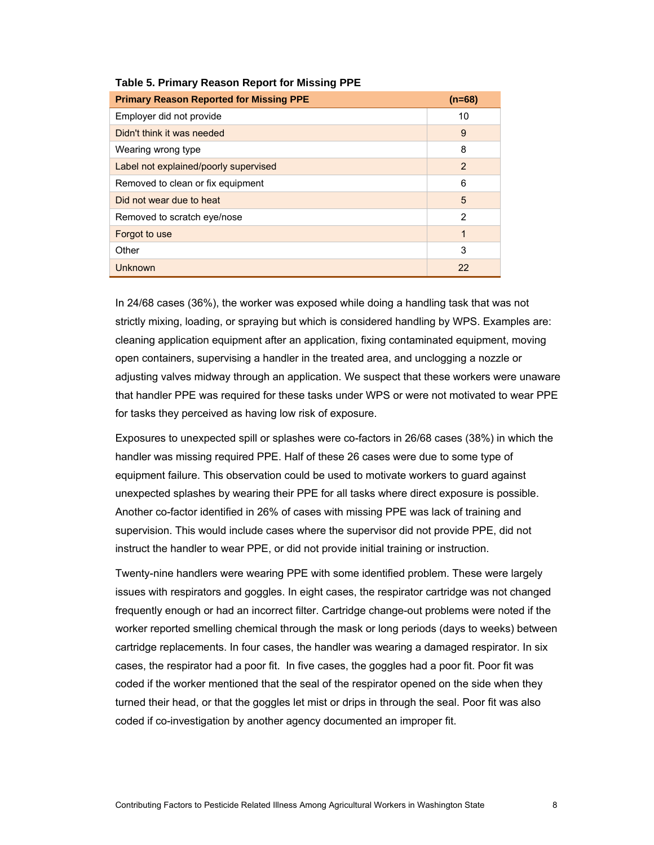| <b>Primary Reason Reported for Missing PPE</b> | $(n=68)$       |
|------------------------------------------------|----------------|
| Employer did not provide                       | 10             |
| Didn't think it was needed                     | 9              |
| Wearing wrong type                             | 8              |
| Label not explained/poorly supervised          | $\overline{2}$ |
| Removed to clean or fix equipment              | 6              |
| Did not wear due to heat                       | 5              |
| Removed to scratch eye/nose                    | $\mathbf{2}$   |
| Forgot to use                                  | 1              |
| Other                                          | 3              |
| Unknown                                        | 22             |

#### **Table 5. Primary Reason Report for Missing PPE**

In 24/68 cases (36%), the worker was exposed while doing a handling task that was not strictly mixing, loading, or spraying but which is considered handling by WPS. Examples are: cleaning application equipment after an application, fixing contaminated equipment, moving open containers, supervising a handler in the treated area, and unclogging a nozzle or adjusting valves midway through an application. We suspect that these workers were unaware that handler PPE was required for these tasks under WPS or were not motivated to wear PPE for tasks they perceived as having low risk of exposure.

Exposures to unexpected spill or splashes were co-factors in 26/68 cases (38%) in which the handler was missing required PPE. Half of these 26 cases were due to some type of equipment failure. This observation could be used to motivate workers to guard against unexpected splashes by wearing their PPE for all tasks where direct exposure is possible. Another co-factor identified in 26% of cases with missing PPE was lack of training and supervision. This would include cases where the supervisor did not provide PPE, did not instruct the handler to wear PPE, or did not provide initial training or instruction.

Twenty-nine handlers were wearing PPE with some identified problem. These were largely issues with respirators and goggles. In eight cases, the respirator cartridge was not changed frequently enough or had an incorrect filter. Cartridge change-out problems were noted if the worker reported smelling chemical through the mask or long periods (days to weeks) between cartridge replacements. In four cases, the handler was wearing a damaged respirator. In six cases, the respirator had a poor fit. In five cases, the goggles had a poor fit. Poor fit was coded if the worker mentioned that the seal of the respirator opened on the side when they turned their head, or that the goggles let mist or drips in through the seal. Poor fit was also coded if co-investigation by another agency documented an improper fit.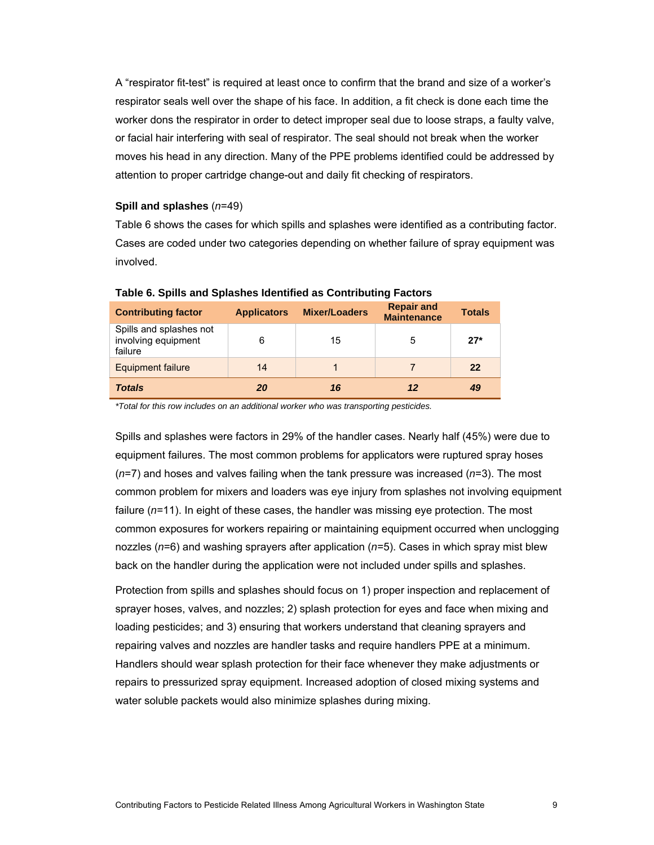A "respirator fit-test" is required at least once to confirm that the brand and size of a worker's respirator seals well over the shape of his face. In addition, a fit check is done each time the worker dons the respirator in order to detect improper seal due to loose straps, a faulty valve, or facial hair interfering with seal of respirator. The seal should not break when the worker moves his head in any direction. Many of the PPE problems identified could be addressed by attention to proper cartridge change-out and daily fit checking of respirators.

#### **Spill and splashes** (*n*=49)

[Table 6](#page-8-0) shows the cases for which spills and splashes were identified as a contributing factor. Cases are coded under two categories depending on whether failure of spray equipment was involved.

<span id="page-8-0"></span>

| <b>Contributing factor</b>                                | <b>Applicators</b> | <b>Mixer/Loaders</b> | <b>Repair and</b><br><b>Maintenance</b> | <b>Totals</b> |
|-----------------------------------------------------------|--------------------|----------------------|-----------------------------------------|---------------|
| Spills and splashes not<br>involving equipment<br>failure | 6                  | 15                   | 5                                       | $27*$         |
| <b>Equipment failure</b>                                  | 14                 |                      |                                         | 22            |
| <b>Totals</b>                                             | 20                 | 16                   | 12                                      | 49            |

#### **Table 6. Spills and Splashes Identified as Contributing Factors**

*\*Total for this row includes on an additional worker who was transporting pesticides.*

Spills and splashes were factors in 29% of the handler cases. Nearly half (45%) were due to equipment failures. The most common problems for applicators were ruptured spray hoses (*n*=7) and hoses and valves failing when the tank pressure was increased (*n*=3). The most common problem for mixers and loaders was eye injury from splashes not involving equipment failure (*n*=11). In eight of these cases, the handler was missing eye protection. The most common exposures for workers repairing or maintaining equipment occurred when unclogging nozzles (*n*=6) and washing sprayers after application (*n*=5). Cases in which spray mist blew back on the handler during the application were not included under spills and splashes.

Protection from spills and splashes should focus on 1) proper inspection and replacement of sprayer hoses, valves, and nozzles; 2) splash protection for eyes and face when mixing and loading pesticides; and 3) ensuring that workers understand that cleaning sprayers and repairing valves and nozzles are handler tasks and require handlers PPE at a minimum. Handlers should wear splash protection for their face whenever they make adjustments or repairs to pressurized spray equipment. Increased adoption of closed mixing systems and water soluble packets would also minimize splashes during mixing.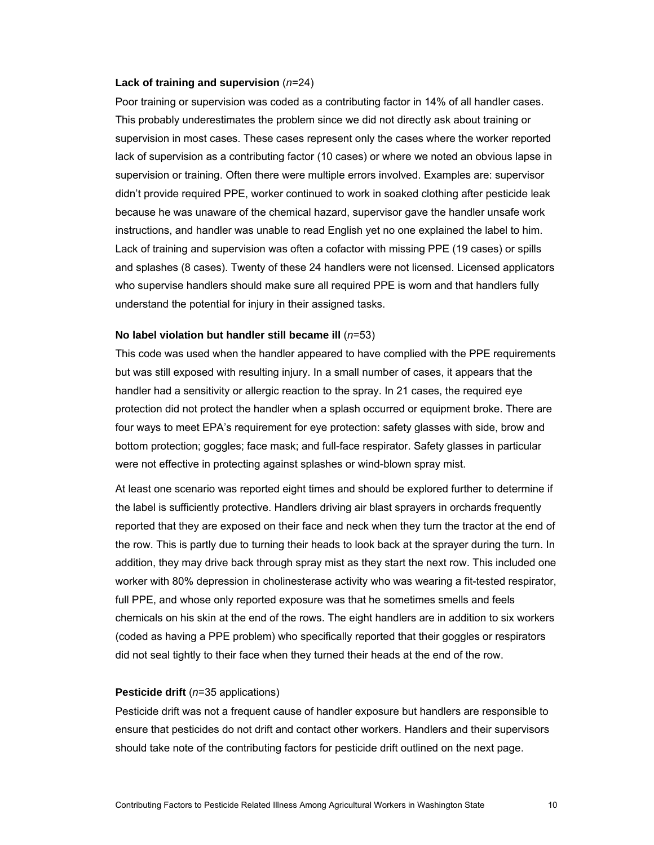#### **Lack of training and supervision** (*n*=24)

Poor training or supervision was coded as a contributing factor in 14% of all handler cases. This probably underestimates the problem since we did not directly ask about training or supervision in most cases. These cases represent only the cases where the worker reported lack of supervision as a contributing factor (10 cases) or where we noted an obvious lapse in supervision or training. Often there were multiple errors involved. Examples are: supervisor didn't provide required PPE, worker continued to work in soaked clothing after pesticide leak because he was unaware of the chemical hazard, supervisor gave the handler unsafe work instructions, and handler was unable to read English yet no one explained the label to him. Lack of training and supervision was often a cofactor with missing PPE (19 cases) or spills and splashes (8 cases). Twenty of these 24 handlers were not licensed. Licensed applicators who supervise handlers should make sure all required PPE is worn and that handlers fully understand the potential for injury in their assigned tasks.

#### **No label violation but handler still became ill** (*n*=53)

This code was used when the handler appeared to have complied with the PPE requirements but was still exposed with resulting injury. In a small number of cases, it appears that the handler had a sensitivity or allergic reaction to the spray. In 21 cases, the required eye protection did not protect the handler when a splash occurred or equipment broke. There are four ways to meet EPA's requirement for eye protection: safety glasses with side, brow and bottom protection; goggles; face mask; and full-face respirator. Safety glasses in particular were not effective in protecting against splashes or wind-blown spray mist.

At least one scenario was reported eight times and should be explored further to determine if the label is sufficiently protective. Handlers driving air blast sprayers in orchards frequently reported that they are exposed on their face and neck when they turn the tractor at the end of the row. This is partly due to turning their heads to look back at the sprayer during the turn. In addition, they may drive back through spray mist as they start the next row. This included one worker with 80% depression in cholinesterase activity who was wearing a fit-tested respirator, full PPE, and whose only reported exposure was that he sometimes smells and feels chemicals on his skin at the end of the rows. The eight handlers are in addition to six workers (coded as having a PPE problem) who specifically reported that their goggles or respirators did not seal tightly to their face when they turned their heads at the end of the row.

#### **Pesticide drift** (*n*=35 applications)

Pesticide drift was not a frequent cause of handler exposure but handlers are responsible to ensure that pesticides do not drift and contact other workers. Handlers and their supervisors should take note of the contributing factors for pesticide drift outlined on the next page.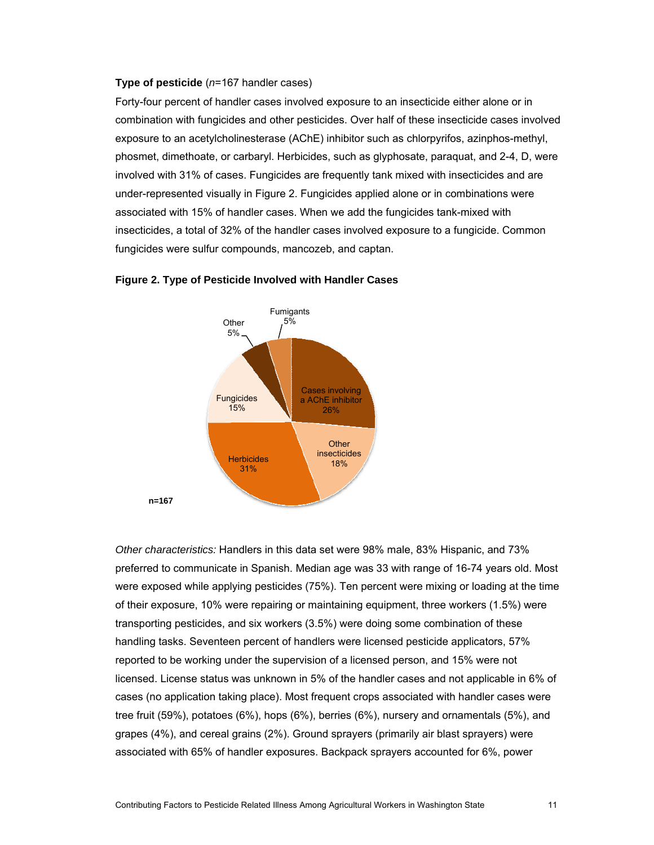#### **Type of pesticide** (*n*=167 handler cases)

Forty-four percent of handler cases involved exposure to an insecticide either alone or in combination with fungicides and other pesticides. Over half of these insecticide cases involved exposure to an acetylcholinesterase (AChE) inhibitor such as chlorpyrifos, azinphos-methyl, phosmet, dimethoate, or carbaryl. Herbicides, such as glyphosate, paraquat, and 2-4, D, were involved with 31% of cases. Fungicides are frequently tank mixed with insecticides and are under-represented visually in [Figure 2.](#page-10-0) Fungicides applied alone or in combinations were associated with 15% of handler cases. When we add the fungicides tank-mixed with insecticides, a total of 32% of the handler cases involved exposure to a fungicide. Common fungicides were sulfur compounds, mancozeb, and captan.



#### <span id="page-10-0"></span>**Figure 2. Type of Pesticide Involved with Handler Cases**

*Other characteristics:* Handlers in this data set were 98% male, 83% Hispanic, and 73% preferred to communicate in Spanish. Median age was 33 with range of 16-74 years old. Most were exposed while applying pesticides (75%). Ten percent were mixing or loading at the time of their exposure, 10% were repairing or maintaining equipment, three workers (1.5%) were transporting pesticides, and six workers (3.5%) were doing some combination of these handling tasks. Seventeen percent of handlers were licensed pesticide applicators, 57% reported to be working under the supervision of a licensed person, and 15% were not licensed. License status was unknown in 5% of the handler cases and not applicable in 6% of cases (no application taking place). Most frequent crops associated with handler cases were tree fruit (59%), potatoes (6%), hops (6%), berries (6%), nursery and ornamentals (5%), and grapes (4%), and cereal grains (2%). Ground sprayers (primarily air blast sprayers) were associated with 65% of handler exposures. Backpack sprayers accounted for 6%, power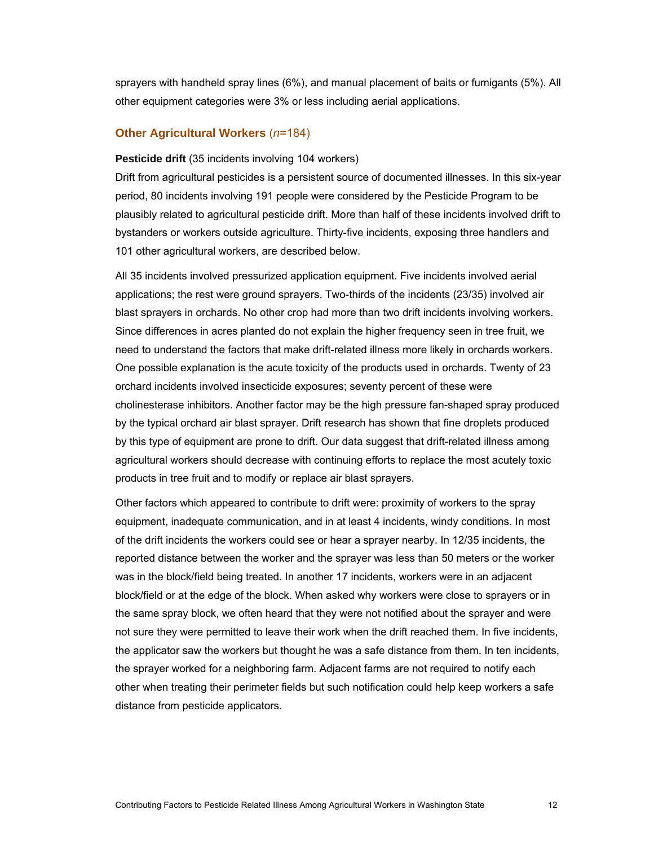sprayers with handheld spray lines (6%), and manual placement of baits or fumigants (5%). All other equipment categories were 3% or less including aerial applications.

#### **Other Agricultural Workers** (*n*=184)

#### **Pesticide drift** (35 incidents involving 104 workers)

Drift from agricultural pesticides is a persistent source of documented illnesses. In this six-year period, 80 incidents involving 191 people were considered by the Pesticide Program to be plausibly related to agricultural pesticide drift. More than half of these incidents involved drift to bystanders or workers outside agriculture. Thirty-five incidents, exposing three handlers and 101 other agricultural workers, are described below.

All 35 incidents involved pressurized application equipment. Five incidents involved aerial applications; the rest were ground sprayers. Two-thirds of the incidents (23/35) involved air blast sprayers in orchards. No other crop had more than two drift incidents involving workers. Since differences in acres planted do not explain the higher frequency seen in tree fruit, we need to understand the factors that make drift-related illness more likely in orchards workers. One possible explanation is the acute toxicity of the products used in orchards. Twenty of 23 orchard incidents involved insecticide exposures; seventy percent of these were cholinesterase inhibitors. Another factor may be the high pressure fan-shaped spray produced by the typical orchard air blast sprayer. Drift research has shown that fine droplets produced by this type of equipment are prone to drift. Our data suggest that drift-related illness among agricultural workers should decrease with continuing efforts to replace the most acutely toxic products in tree fruit and to modify or replace air blast sprayers.

Other factors which appeared to contribute to drift were: proximity of workers to the spray equipment, inadequate communication, and in at least 4 incidents, windy conditions. In most of the drift incidents the workers could see or hear a sprayer nearby. In 12/35 incidents, the reported distance between the worker and the sprayer was less than 50 meters or the worker was in the block/field being treated. In another 17 incidents, workers were in an adjacent block/field or at the edge of the block. When asked why workers were close to sprayers or in the same spray block, we often heard that they were not notified about the sprayer and were not sure they were permitted to leave their work when the drift reached them. In five incidents, the applicator saw the workers but thought he was a safe distance from them. In ten incidents, the sprayer worked for a neighboring farm. Adjacent farms are not required to notify each other when treating their perimeter fields but such notification could help keep workers a safe distance from pesticide applicators.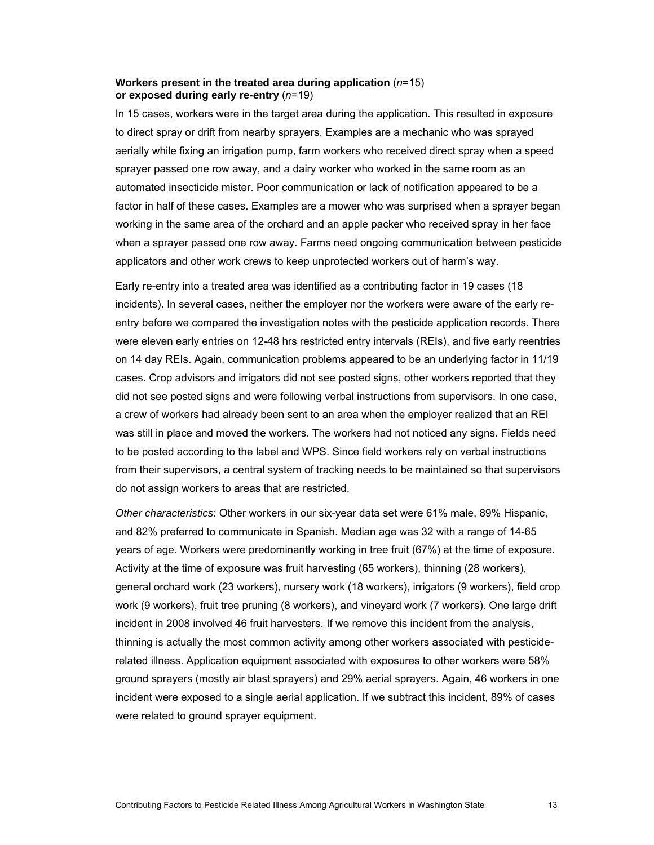### **Workers present in the treated area during application** (*n*=15) **or exposed during early re-entry** (*n*=19)

In 15 cases, workers were in the target area during the application. This resulted in exposure to direct spray or drift from nearby sprayers. Examples are a mechanic who was sprayed aerially while fixing an irrigation pump, farm workers who received direct spray when a speed sprayer passed one row away, and a dairy worker who worked in the same room as an automated insecticide mister. Poor communication or lack of notification appeared to be a factor in half of these cases. Examples are a mower who was surprised when a sprayer began working in the same area of the orchard and an apple packer who received spray in her face when a sprayer passed one row away. Farms need ongoing communication between pesticide applicators and other work crews to keep unprotected workers out of harm's way.

Early re-entry into a treated area was identified as a contributing factor in 19 cases (18 incidents). In several cases, neither the employer nor the workers were aware of the early reentry before we compared the investigation notes with the pesticide application records. There were eleven early entries on 12-48 hrs restricted entry intervals (REIs), and five early reentries on 14 day REIs. Again, communication problems appeared to be an underlying factor in 11/19 cases. Crop advisors and irrigators did not see posted signs, other workers reported that they did not see posted signs and were following verbal instructions from supervisors. In one case, a crew of workers had already been sent to an area when the employer realized that an REI was still in place and moved the workers. The workers had not noticed any signs. Fields need to be posted according to the label and WPS. Since field workers rely on verbal instructions from their supervisors, a central system of tracking needs to be maintained so that supervisors do not assign workers to areas that are restricted.

*Other characteristics*: Other workers in our six-year data set were 61% male, 89% Hispanic, and 82% preferred to communicate in Spanish. Median age was 32 with a range of 14-65 years of age. Workers were predominantly working in tree fruit (67%) at the time of exposure. Activity at the time of exposure was fruit harvesting (65 workers), thinning (28 workers), general orchard work (23 workers), nursery work (18 workers), irrigators (9 workers), field crop work (9 workers), fruit tree pruning (8 workers), and vineyard work (7 workers). One large drift incident in 2008 involved 46 fruit harvesters. If we remove this incident from the analysis, thinning is actually the most common activity among other workers associated with pesticiderelated illness. Application equipment associated with exposures to other workers were 58% ground sprayers (mostly air blast sprayers) and 29% aerial sprayers. Again, 46 workers in one incident were exposed to a single aerial application. If we subtract this incident, 89% of cases were related to ground sprayer equipment.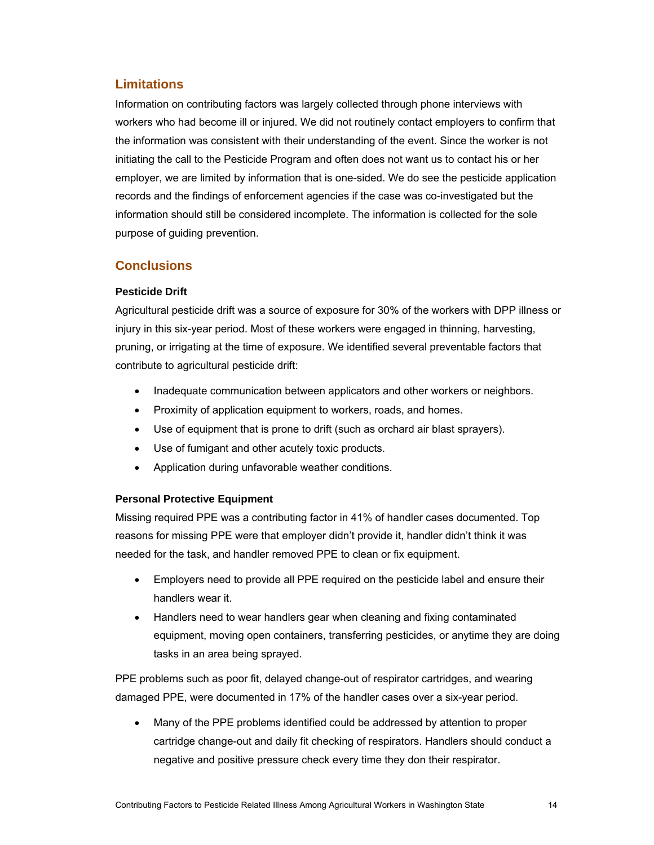# **Limitations**

Information on contributing factors was largely collected through phone interviews with workers who had become ill or injured. We did not routinely contact employers to confirm that the information was consistent with their understanding of the event. Since the worker is not initiating the call to the Pesticide Program and often does not want us to contact his or her employer, we are limited by information that is one-sided. We do see the pesticide application records and the findings of enforcement agencies if the case was co-investigated but the information should still be considered incomplete. The information is collected for the sole purpose of guiding prevention.

# **Conclusions**

## **Pesticide Drift**

Agricultural pesticide drift was a source of exposure for 30% of the workers with DPP illness or injury in this six-year period. Most of these workers were engaged in thinning, harvesting, pruning, or irrigating at the time of exposure. We identified several preventable factors that contribute to agricultural pesticide drift:

- Inadequate communication between applicators and other workers or neighbors.
- Proximity of application equipment to workers, roads, and homes.
- Use of equipment that is prone to drift (such as orchard air blast sprayers).
- Use of fumigant and other acutely toxic products.
- Application during unfavorable weather conditions.

## **Personal Protective Equipment**

Missing required PPE was a contributing factor in 41% of handler cases documented. Top reasons for missing PPE were that employer didn't provide it, handler didn't think it was needed for the task, and handler removed PPE to clean or fix equipment.

- Employers need to provide all PPE required on the pesticide label and ensure their handlers wear it.
- Handlers need to wear handlers gear when cleaning and fixing contaminated equipment, moving open containers, transferring pesticides, or anytime they are doing tasks in an area being sprayed.

PPE problems such as poor fit, delayed change-out of respirator cartridges, and wearing damaged PPE, were documented in 17% of the handler cases over a six-year period.

• Many of the PPE problems identified could be addressed by attention to proper cartridge change-out and daily fit checking of respirators. Handlers should conduct a negative and positive pressure check every time they don their respirator.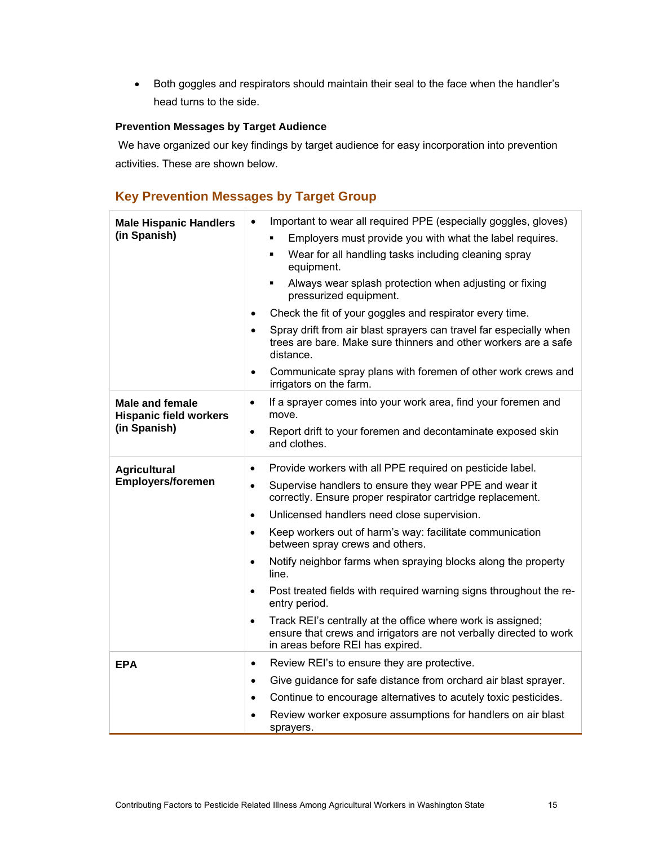• Both goggles and respirators should maintain their seal to the face when the handler's head turns to the side.

### **Prevention Messages by Target Audience**

We have organized our key findings by target audience for easy incorporation into prevention activities. These are shown below.

# **Key Prevention Messages by Target Group**

| <b>Male Hispanic Handlers</b><br>(in Spanish)                           | Important to wear all required PPE (especially goggles, gloves)<br>$\bullet$<br>Employers must provide you with what the label requires.<br>٠<br>Wear for all handling tasks including cleaning spray<br>×,<br>equipment.<br>Always wear splash protection when adjusting or fixing<br>$\blacksquare$<br>pressurized equipment.<br>Check the fit of your goggles and respirator every time.<br>$\bullet$<br>Spray drift from air blast sprayers can travel far especially when<br>$\bullet$<br>trees are bare. Make sure thinners and other workers are a safe                                                                                                                                                                                                       |
|-------------------------------------------------------------------------|----------------------------------------------------------------------------------------------------------------------------------------------------------------------------------------------------------------------------------------------------------------------------------------------------------------------------------------------------------------------------------------------------------------------------------------------------------------------------------------------------------------------------------------------------------------------------------------------------------------------------------------------------------------------------------------------------------------------------------------------------------------------|
|                                                                         | distance.<br>Communicate spray plans with foremen of other work crews and<br>$\bullet$<br>irrigators on the farm.                                                                                                                                                                                                                                                                                                                                                                                                                                                                                                                                                                                                                                                    |
| <b>Male and female</b><br><b>Hispanic field workers</b><br>(in Spanish) | If a sprayer comes into your work area, find your foremen and<br>$\bullet$<br>move.<br>Report drift to your foremen and decontaminate exposed skin<br>$\bullet$<br>and clothes.                                                                                                                                                                                                                                                                                                                                                                                                                                                                                                                                                                                      |
| <b>Agricultural</b><br><b>Employers/foremen</b>                         | Provide workers with all PPE required on pesticide label.<br>$\bullet$<br>Supervise handlers to ensure they wear PPE and wear it<br>$\bullet$<br>correctly. Ensure proper respirator cartridge replacement.<br>Unlicensed handlers need close supervision.<br>$\bullet$<br>Keep workers out of harm's way: facilitate communication<br>$\bullet$<br>between spray crews and others.<br>Notify neighbor farms when spraying blocks along the property<br>$\bullet$<br>line.<br>Post treated fields with required warning signs throughout the re-<br>$\bullet$<br>entry period.<br>Track REI's centrally at the office where work is assigned;<br>$\bullet$<br>ensure that crews and irrigators are not verbally directed to work<br>in areas before REI has expired. |
| <b>EPA</b>                                                              | Review REI's to ensure they are protective.<br>$\bullet$<br>Give guidance for safe distance from orchard air blast sprayer.<br>$\bullet$<br>Continue to encourage alternatives to acutely toxic pesticides.<br>$\bullet$<br>Review worker exposure assumptions for handlers on air blast<br>sprayers.                                                                                                                                                                                                                                                                                                                                                                                                                                                                |